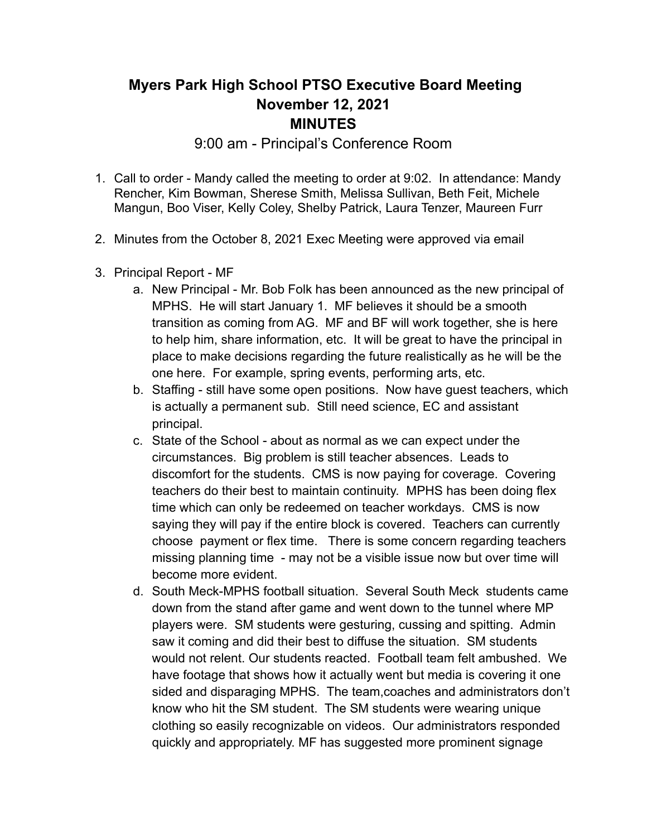## **Myers Park High School PTSO Executive Board Meeting November 12, 2021 MINUTES**

9:00 am - Principal's Conference Room

- 1. Call to order Mandy called the meeting to order at 9:02. In attendance: Mandy Rencher, Kim Bowman, Sherese Smith, Melissa Sullivan, Beth Feit, Michele Mangun, Boo Viser, Kelly Coley, Shelby Patrick, Laura Tenzer, Maureen Furr
- 2. Minutes from the October 8, 2021 Exec Meeting were approved via email
- 3. Principal Report MF
	- a. New Principal Mr. Bob Folk has been announced as the new principal of MPHS. He will start January 1. MF believes it should be a smooth transition as coming from AG. MF and BF will work together, she is here to help him, share information, etc. It will be great to have the principal in place to make decisions regarding the future realistically as he will be the one here. For example, spring events, performing arts, etc.
	- b. Staffing still have some open positions. Now have guest teachers, which is actually a permanent sub. Still need science, EC and assistant principal.
	- c. State of the School about as normal as we can expect under the circumstances. Big problem is still teacher absences. Leads to discomfort for the students. CMS is now paying for coverage. Covering teachers do their best to maintain continuity. MPHS has been doing flex time which can only be redeemed on teacher workdays. CMS is now saying they will pay if the entire block is covered. Teachers can currently choose payment or flex time. There is some concern regarding teachers missing planning time - may not be a visible issue now but over time will become more evident.
	- d. South Meck-MPHS football situation. Several South Meck students came down from the stand after game and went down to the tunnel where MP players were. SM students were gesturing, cussing and spitting. Admin saw it coming and did their best to diffuse the situation. SM students would not relent. Our students reacted. Football team felt ambushed. We have footage that shows how it actually went but media is covering it one sided and disparaging MPHS. The team,coaches and administrators don't know who hit the SM student. The SM students were wearing unique clothing so easily recognizable on videos. Our administrators responded quickly and appropriately. MF has suggested more prominent signage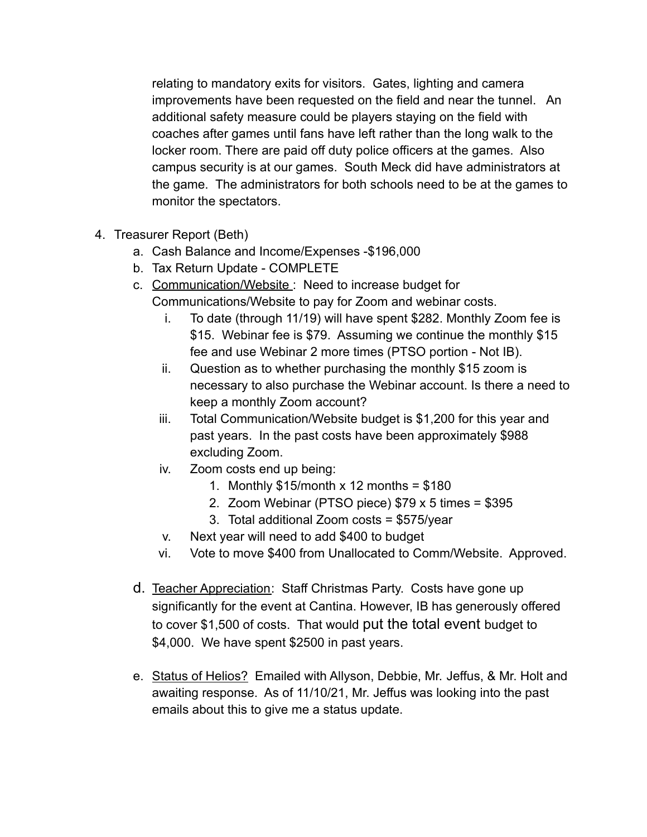relating to mandatory exits for visitors. Gates, lighting and camera improvements have been requested on the field and near the tunnel. An additional safety measure could be players staying on the field with coaches after games until fans have left rather than the long walk to the locker room. There are paid off duty police officers at the games. Also campus security is at our games. South Meck did have administrators at the game. The administrators for both schools need to be at the games to monitor the spectators.

- 4. Treasurer Report (Beth)
	- a. Cash Balance and Income/Expenses -\$196,000
	- b. Tax Return Update COMPLETE
	- c. Communication/Website : Need to increase budget for Communications/Website to pay for Zoom and webinar costs.
		- i. To date (through 11/19) will have spent \$282. Monthly Zoom fee is \$15. Webinar fee is \$79. Assuming we continue the monthly \$15 fee and use Webinar 2 more times (PTSO portion - Not IB).
		- ii. Question as to whether purchasing the monthly \$15 zoom is necessary to also purchase the Webinar account. Is there a need to keep a monthly Zoom account?
		- iii. Total Communication/Website budget is \$1,200 for this year and past years. In the past costs have been approximately \$988 excluding Zoom.
		- iv. Zoom costs end up being:
			- 1. Monthly  $$15/m$ onth x 12 months =  $$180$
			- 2. Zoom Webinar (PTSO piece) \$79 x 5 times = \$395
			- 3. Total additional Zoom costs = \$575/year
		- v. Next year will need to add \$400 to budget
		- vi. Vote to move \$400 from Unallocated to Comm/Website. Approved.
	- d. Teacher Appreciation: Staff Christmas Party. Costs have gone up significantly for the event at Cantina. However, IB has generously offered to cover \$1,500 of costs. That would put the total event budget to \$4,000. We have spent \$2500 in past years.
	- e. Status of Helios? Emailed with Allyson, Debbie, Mr. Jeffus, & Mr. Holt and awaiting response. As of 11/10/21, Mr. Jeffus was looking into the past emails about this to give me a status update.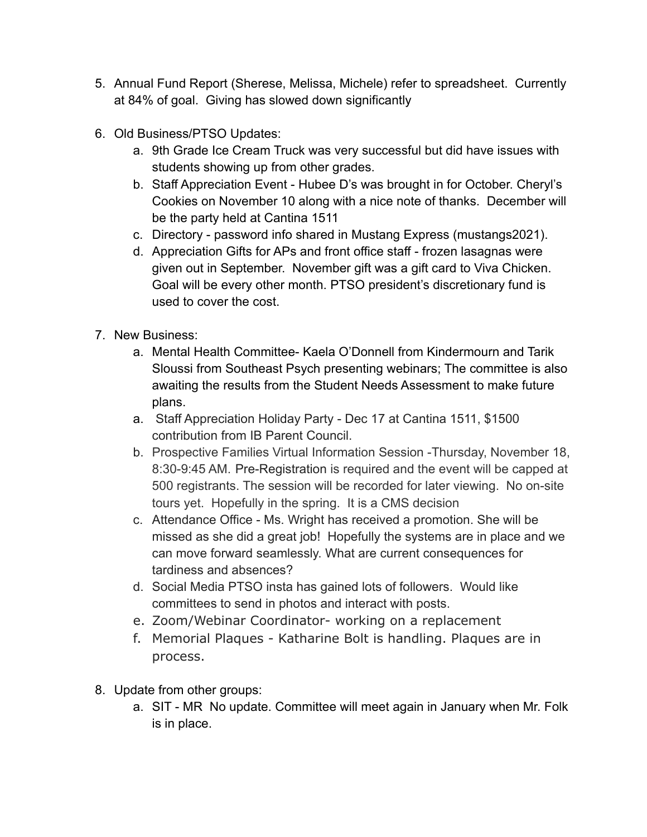- 5. Annual Fund Report (Sherese, Melissa, Michele) refer to spreadsheet. Currently at 84% of goal. Giving has slowed down significantly
- 6. Old Business/PTSO Updates:
	- a. 9th Grade Ice Cream Truck was very successful but did have issues with students showing up from other grades.
	- b. Staff Appreciation Event Hubee D's was brought in for October. Cheryl's Cookies on November 10 along with a nice note of thanks. December will be the party held at Cantina 1511
	- c. Directory password info shared in Mustang Express (mustangs2021).
	- d. Appreciation Gifts for APs and front office staff frozen lasagnas were given out in September. November gift was a gift card to Viva Chicken. Goal will be every other month. PTSO president's discretionary fund is used to cover the cost.
- 7. New Business:
	- a. Mental Health Committee- Kaela O'Donnell from Kindermourn and Tarik Sloussi from Southeast Psych presenting webinars; The committee is also awaiting the results from the Student Needs Assessment to make future plans.
	- a. Staff Appreciation Holiday Party Dec 17 at Cantina 1511, \$1500 contribution from IB Parent Council.
	- b. Prospective Families Virtual Information Session -Thursday, November 18, 8:30-9:45 AM. [Pre-Registration](https://r20.rs6.net/tn.jsp?f=001BsrTwNDUi1HyMPjKV_x-FFUiHK4GbGVkDV1hIAFgysbowpUUPMbqSLO-obUiNV8pY63Yrp0UjgDmbKrqezhtiunHXLSLerl_DOYQA2ip0U0FKGZ3x_KBHDDy2r8vTNfZ32WUoeF6ZiN1645LzqYmLr-VcKuYY6LvBDEpv95S3oKGb3qS4WWzLdrBa13WYKNiNDm-oXVhYLk=&c=r0_8ODmnJZS1AAvkghfIcwo4XcZRWapLh34SzjxAmLcev9IRDFLVkg==&ch=NkCvr4bYneXD7Z8xIDwLlcqDy3zbIozU-GteTKD6htxti-BD2Xchag==) is required and the event will be capped at 500 registrants. The session will be recorded for later viewing. No on-site tours yet. Hopefully in the spring. It is a CMS decision
	- c. Attendance Office Ms. Wright has received a promotion. She will be missed as she did a great job! Hopefully the systems are in place and we can move forward seamlessly. What are current consequences for tardiness and absences?
	- d. Social Media PTSO insta has gained lots of followers. Would like committees to send in photos and interact with posts.
	- e. Zoom/Webinar Coordinator- working on a replacement
	- f. Memorial Plaques Katharine Bolt is handling. Plaques are in process.
- 8. Update from other groups:
	- a. SIT MR No update. Committee will meet again in January when Mr. Folk is in place.